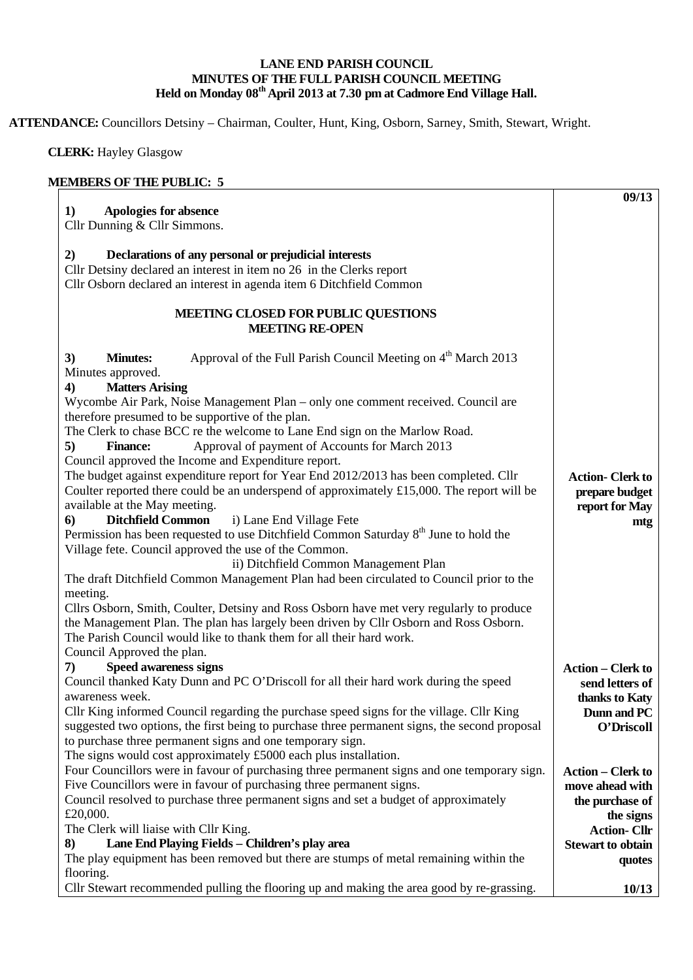## **LANE END PARISH COUNCIL MINUTES OF THE FULL PARISH COUNCIL MEETING Held on Monday 08th April 2013 at 7.30 pm at Cadmore End Village Hall.**

**ATTENDANCE:** Councillors Detsiny – Chairman, Coulter, Hunt, King, Osborn, Sarney, Smith, Stewart, Wright.

 **CLERK:** Hayley Glasgow

## **MEMBERS OF THE PUBLIC: 5**

| <b>Apologies for absence</b><br>1)                                                                                             | 09/13                                       |
|--------------------------------------------------------------------------------------------------------------------------------|---------------------------------------------|
| Cllr Dunning & Cllr Simmons.                                                                                                   |                                             |
| 2)                                                                                                                             |                                             |
| Declarations of any personal or prejudicial interests<br>Cllr Detsiny declared an interest in item no 26 in the Clerks report  |                                             |
| Cllr Osborn declared an interest in agenda item 6 Ditchfield Common                                                            |                                             |
|                                                                                                                                |                                             |
| <b>MEETING CLOSED FOR PUBLIC QUESTIONS</b>                                                                                     |                                             |
| <b>MEETING RE-OPEN</b>                                                                                                         |                                             |
| Approval of the Full Parish Council Meeting on 4 <sup>th</sup> March 2013<br><b>Minutes:</b><br>3)                             |                                             |
| Minutes approved.                                                                                                              |                                             |
| <b>Matters Arising</b><br>$\boldsymbol{4}$                                                                                     |                                             |
| Wycombe Air Park, Noise Management Plan – only one comment received. Council are                                               |                                             |
| therefore presumed to be supportive of the plan.                                                                               |                                             |
| The Clerk to chase BCC re the welcome to Lane End sign on the Marlow Road.                                                     |                                             |
| 5)<br>Approval of payment of Accounts for March 2013<br><b>Finance:</b>                                                        |                                             |
| Council approved the Income and Expenditure report.                                                                            |                                             |
| The budget against expenditure report for Year End 2012/2013 has been completed. Cllr                                          | <b>Action-Clerk to</b>                      |
| Coulter reported there could be an underspend of approximately $£15,000$ . The report will be<br>available at the May meeting. | prepare budget                              |
| <b>Ditchfield Common</b><br>i) Lane End Village Fete<br>6)                                                                     | report for May                              |
| Permission has been requested to use Ditchfield Common Saturday 8 <sup>th</sup> June to hold the                               | mtg                                         |
| Village fete. Council approved the use of the Common.                                                                          |                                             |
| ii) Ditchfield Common Management Plan                                                                                          |                                             |
| The draft Ditchfield Common Management Plan had been circulated to Council prior to the                                        |                                             |
| meeting.                                                                                                                       |                                             |
| Cllrs Osborn, Smith, Coulter, Detsiny and Ross Osborn have met very regularly to produce                                       |                                             |
| the Management Plan. The plan has largely been driven by Cllr Osborn and Ross Osborn.                                          |                                             |
| The Parish Council would like to thank them for all their hard work.                                                           |                                             |
| Council Approved the plan.                                                                                                     |                                             |
| <b>Speed awareness signs</b><br>7)                                                                                             | <b>Action – Clerk to</b>                    |
| Council thanked Katy Dunn and PC O'Driscoll for all their hard work during the speed                                           | send letters of                             |
| awareness week.                                                                                                                | thanks to Katy                              |
| Cllr King informed Council regarding the purchase speed signs for the village. Cllr King                                       | Dunn and PC                                 |
| suggested two options, the first being to purchase three permanent signs, the second proposal                                  | O'Driscoll                                  |
| to purchase three permanent signs and one temporary sign.<br>The signs would cost approximately £5000 each plus installation.  |                                             |
| Four Councillors were in favour of purchasing three permanent signs and one temporary sign.                                    |                                             |
| Five Councillors were in favour of purchasing three permanent signs.                                                           | <b>Action – Clerk to</b><br>move ahead with |
| Council resolved to purchase three permanent signs and set a budget of approximately                                           | the purchase of                             |
| £20,000.                                                                                                                       | the signs                                   |
| The Clerk will liaise with Cllr King.                                                                                          | <b>Action-Cllr</b>                          |
| Lane End Playing Fields - Children's play area<br>8)                                                                           | <b>Stewart to obtain</b>                    |
| The play equipment has been removed but there are stumps of metal remaining within the                                         | quotes                                      |
| flooring.                                                                                                                      |                                             |
| Cllr Stewart recommended pulling the flooring up and making the area good by re-grassing.                                      | 10/13                                       |